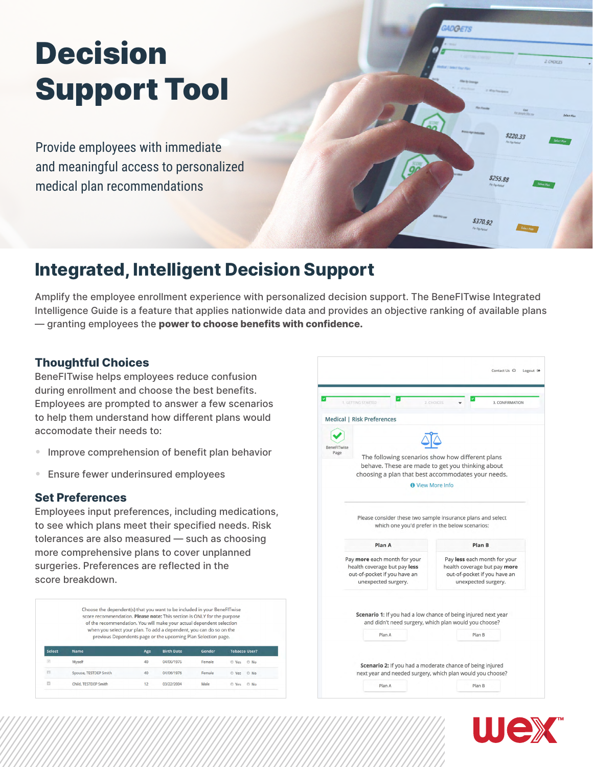# Decision Support Tool

Provide employees with immediate and meaningful access to personalized medical plan recommendations

## **Integrated, Intelligent Decision Support**

Amplify the employee enrollment experience with personalized decision support. The BeneFITwise Integrated Intelligence Guide is a feature that applies nationwide data and provides an objective ranking of available plans — granting employees the **power to choose benefits with confidence.**

#### **Thoughtful Choices**

BeneFITwise helps employees reduce confusion during enrollment and choose the best benefits. Employees are prompted to answer a few scenarios to help them understand how different plans would accomodate their needs to:

- Improve comprehension of benefit plan behavior
- Ensure fewer underinsured employees

#### **Set Preferences**

Employees input preferences, including medications, to see which plans meet their specified needs. Risk tolerances are also measured — such as choosing more comprehensive plans to cover unplanned surgeries. Preferences are reflected in the score breakdown.

Choose the dependent(s) that you want to be included in your BeneFITwise score recommendation. Please note: This section is ONLY for the purpose of the recommendation. You will make your actual dependent selection when you select your plan. To add a dependent, you can do so on the previous Dependents page or the upcoming Plan Selection page. **Birth Date** Age Gende **Tobacco User**  $40<sup>2</sup>$ 04/06/1976 Female  $<sup>0</sup>$  Yes</sup>  $\odot$  No Spouse, TESTDEP Smith  $40$ 04/06/1976 Female © Yes © No  $\overline{\mathbb{C}}$ Child, TESTDEP Smith  $12$ 03/22/2004 Male O Yes O No



**IDGETS** 

**Z CHOICES** 

\$220.33

\$255.88

\$370.92